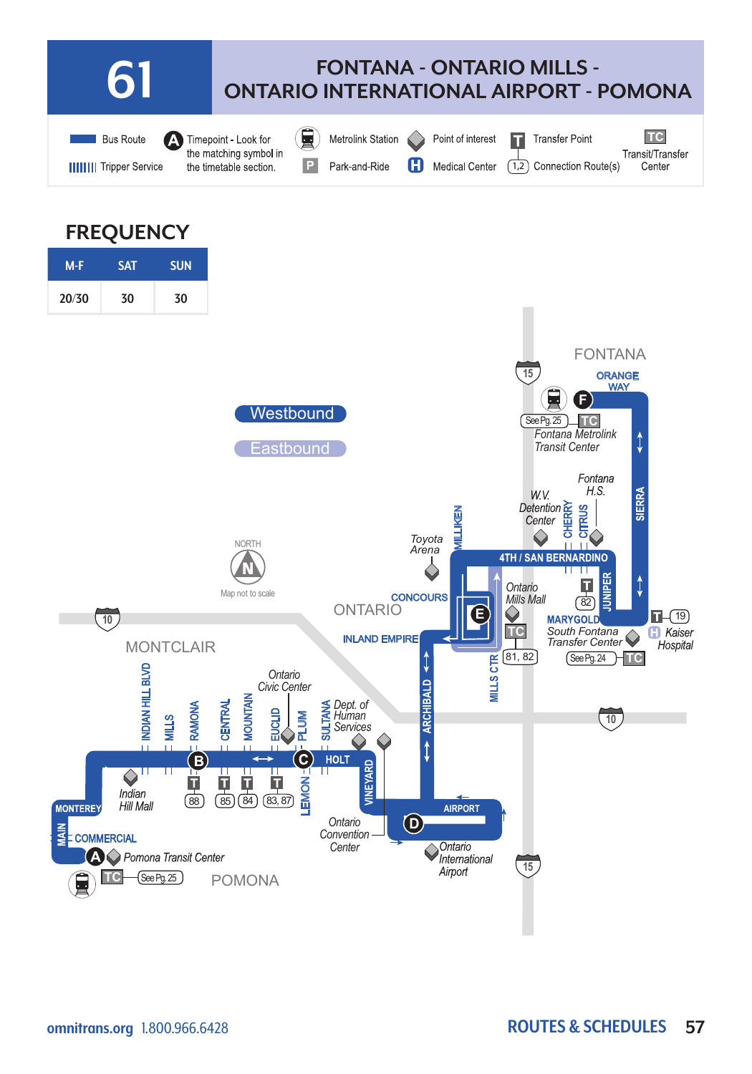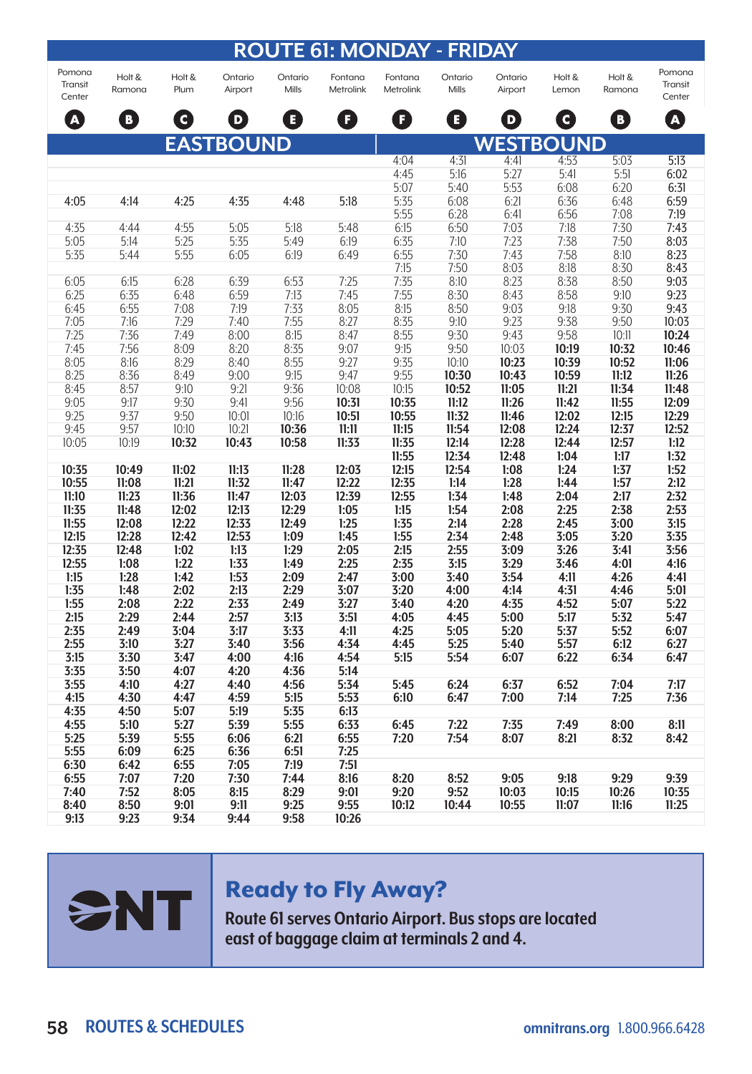| <b>ROUTE 61: MONDAY - FRIDAY</b> |                  |                |                    |                  |                      |                      |                  |                    |                 |                  |                             |
|----------------------------------|------------------|----------------|--------------------|------------------|----------------------|----------------------|------------------|--------------------|-----------------|------------------|-----------------------------|
| Pomona<br>Transit<br>Center      | Holt &<br>Ramona | Holt &<br>Plum | Ontario<br>Airport | Ontario<br>Mills | Fontana<br>Metrolink | Fontana<br>Metrolink | Ontario<br>Mills | Ontario<br>Airport | Holt &<br>Lemon | Holt &<br>Ramona | Pomona<br>Transit<br>Center |
| A                                | B)               | $\mathbf{C}$   | D                  | E                | F                    | F)                   | B)               | D                  | 0               | D                | $\boldsymbol{\Delta}$       |
|                                  |                  |                | <b>EASTBOUND</b>   |                  |                      |                      |                  | <b>WESTBOUND</b>   |                 |                  |                             |
|                                  |                  |                |                    |                  |                      | 4:04                 | 4:31             | 4:41               | 4:53            | 5:03             | 5:13                        |
|                                  |                  |                |                    |                  |                      | 4:45                 | 5:16             | 5:27               | 5:41            | 5:51             | 6:02                        |
|                                  |                  |                |                    |                  |                      | 5:07                 | 5:40             | 5:53               | 6:08            | 6:20             | 6:31                        |
| 4:05                             | 4:14             | 4:25           | 4:35               | 4:48             | 5:18                 | 5:35                 | 6:08             | 6:21               | 6:36            | 6:48             | 6:59                        |
| 4:35                             | 4:44             | 4:55           | 5:05               | 5:18             | 5:48                 | 5:55<br>6:15         | 6:28<br>6:50     | 6:41<br>7:03       | 6:56            | 7:08<br>7:30     | 7:19<br>7:43                |
| 5:05                             | 5:14             | 5:25           | 5:35               | 5:49             | 6:19                 | 6:35                 | 7:10             | 7:23               | 7:18<br>7:38    | 7:50             | 8:03                        |
| 5:35                             | 5:44             | 5:55           | 6:05               | 6:19             | 6:49                 | 6:55                 | 7:30             | 7:43               | 7:58            | 8:10             | 8:23                        |
|                                  |                  |                |                    |                  |                      | 7:15                 | 7:50             | 8:03               | 8:18            | 8:30             | 8:43                        |
| 6:05                             | 6:15             | 6:28           | 6:39               | 6:53             | 7:25                 | 7:35                 | 8:10             | 8:23               | 8:38            | 8:50             | 9:03                        |
| 6:25                             | 6:35             | 6:48           | 6:59               | 7:13             | 7:45                 | 7:55                 | 8:30             | 8:43               | 8:58            | 9:10             | 9:23                        |
| 6:45                             | 6:55             | 7:08           | 7:19               | 7:33             | 8:05                 | 8:15                 | 8:50             | 9:03               | 9:18            | 9:30             | 9:43                        |
| 7:05                             | 7:16             | 7:29           | 7:40               | 7:55             | 8:27                 | 8:35                 | 9:10             | 9:23               | 9:38            | 9:50             | 10:03                       |
| 7:25                             | 7:36             | 7:49           | 8:00               | 8:15             | 8:47                 | 8:55                 | 9:30             | 9:43               | 9:58            | 10:11            | 10:24                       |
| 7:45                             | 7:56             | 8:09           | 8:20               | 8:35             | 9:07                 | 9:15                 | 9:50             | 10:03              | 10:19           | 10:32            | 10:46                       |
| 8:05                             | 8:16             | 8:29           | 8:40               | 8:55             | 9:27                 | 9:35                 | 10:10            | 10:23              | 10:39           | 10:52            | 11:06                       |
| 8:25                             | 8:36             | 8:49           | 9:00               | 9:15             | 9:47                 | 9:55                 | 10:30            | 10:43              | 10:59           | 11:12            | 11:26                       |
| 8:45                             | 8:57             | 9:10           | 9:21               | 9:36             | 10:08                | 10:15                | 10:52            | 11:05              | 11:21           | 11:34            | 11:48                       |
| 9:05                             | 9:17             | 9:30           | 9:41               | 9:56             | 10:31                | 10:35                | 11:12            | 11:26              | 11:42           | 11:55            | 12:09                       |
| 9:25                             | 9:37             | 9:50           | 10:01              | 10:16            | 10:51                | 10:55                | 11:32            | 11:46              | 12:02           | 12:15            | 12:29                       |
| 9:45                             | 9:57             | 10:10          | 10:21              | 10:36            | 11:11                | 11:15                | 11:54            | 12:08              | 12:24           | 12:37            | 12:52                       |
| 10:05                            | 10:19            | 10:32          | 10:43              | 10:58            | 11:33                | 11:35<br>11:55       | 12:14<br>12:34   | 12:28<br>12:48     | 12:44<br>1:04   | 12:57<br>1:17    | 1:12<br>1:32                |
| 10:35                            | 10:49            | 11:02          | 11:13              | 11:28            | 12:03                | 12:15                | 12:54            | 1:08               | 1:24            | 1:37             | 1:52                        |
| 10:55                            | 11:08            | 11:21          | 11:32              | 11:47            | 12:22                | 12:35                | 1:14             | 1:28               | 1:44            | 1:57             | 2:12                        |
| 11:10                            | 11:23            | 11:36          | 11:47              | 12:03            | 12:39                | 12:55                | 1:34             | 1:48               | 2:04            | 2:17             | 2:32                        |
| 11:35                            | 11:48            | 12:02          | 12:13              | 12:29            | 1:05                 | 1:15                 | 1:54             | 2:08               | 2:25            | 2:38             | 2:53                        |
| 11:55                            | 12:08            | 12:22          | 12:33              | 12:49            | 1:25                 | 1:35                 | 2:14             | 2:28               | 2:45            | 3:00             | 3:15                        |
| 12:15                            | 12:28            | 12:42          | 12:53              | 1:09             | 1:45                 | 1:55                 | 2:34             | 2:48               | 3:05            | 3:20             | 3:35                        |
| 12:35                            | 12:48            | 1:02           | 1:13               | 1:29             | 2:05                 | 2:15                 | 2:55             | 3:09               | 3:26            | 3:41             | 3:56                        |
| 12:55                            | 1:08             | 1:22           | 1:33               | 1:49             | 2:25                 | 2:35                 | 3:15             | 3:29               | 3:46            | 4:01             | 4:16                        |
| 1:15                             | 1:28             | 1:42           | 1:53               | 2:09             | 2:47                 | 3:00                 | 3:40             | 3:54               | 4:11            | 4:26             | 4:41                        |
| 1:35                             | 1:48             | 2:02           | 2:13               | 2:29             | 3:07                 | 3:20                 | 4:00             | 4:14               | 4:31            | 4:46             | 5:01                        |
| 1:55                             | 2:08             | 2:22           | 2:33               | 2:49             | 3:27                 | 3:40                 | 4:20             | 4:35               | 4:52            | 5:07             | 5:22                        |
| 2:15                             | 2:29             | 2:44           | 2:57               | 3:13             | 3:51                 | 4:05                 | 4:45             | 5:00               | 5:17            | 5:32             | 5:47                        |
| 2:35                             | 2:49             | 3:04           | 3:17               | 3:33             | 4:11                 | 4:25                 | 5:05             | 5:20               | 5:37            | 5:52             | 6:07                        |
| 2:55                             | 3:10             | 3:27           | 3:40               | 3:56             | 4:34                 | 4:45                 | 5:25             | 5:40               | 5:57            | 6:12             | 6:27                        |
| 3:15<br>3:35                     | 3:30             | 3:47<br>4:07   | 4:00               | 4:16             | 4:54                 | 5:15                 | 5:54             | 6:07               | 6:22            | 6:34             | 6:47                        |
| 3:55                             | 3:50<br>4:10     | 4:27           | 4:20<br>4:40       | 4:36<br>4:56     | 5:14<br>5:34         | 5:45                 | 6:24             | 6:37               | 6:52            | 7:04             | 7:17                        |
| 4:15                             | 4:30             | 4:47           | 4:59               | 5:15             | 5:53                 | 6:10                 | 6:47             | 7:00               | 7:14            | 7:25             | 7:36                        |
| 4:35                             | 4:50             | 5:07           | 5:19               | 5:35             | 6:13                 |                      |                  |                    |                 |                  |                             |
| 4:55                             | 5:10             | 5:27           | 5:39               | 5:55             | 6:33                 | 6:45                 | 7:22             | 7:35               | 7:49            | 8:00             | 8:11                        |
| 5:25                             | 5:39             | 5:55           | 6:06               | 6:21             | 6:55                 | 7:20                 | 7:54             | 8:07               | 8:21            | 8:32             | 8:42                        |
| 5:55                             | 6:09             | 6:25           | 6:36               | 6:51             | 7:25                 |                      |                  |                    |                 |                  |                             |
| 6:30                             | 6:42             | 6:55           | 7:05               | 7:19             | 7:51                 |                      |                  |                    |                 |                  |                             |
| 6:55                             | 7:07             | 7:20           | 7:30               | 7:44             | 8:16                 | 8:20                 | 8:52             | 9:05               | 9:18            | 9:29             | 9:39                        |
| 7:40                             | 7:52             | 8:05           | 8:15               | 8:29             | 9:01                 | 9:20                 | 9:52             | 10:03              | 10:15           | 10:26            | 10:35                       |
| 8:40                             | 8:50             | 9:01           | 9:11               | 9:25             | 9:55                 | 10:12                | 10:44            | 10:55              | 11:07           | 11:16            | 11:25                       |
| 9:13                             | 9:23             | 9:34           | 9:44               | 9:58             | 10:26                |                      |                  |                    |                 |                  |                             |

## Ready to Fly Away?

**Route 61 serves Ontario Airport. Bus stops are located east of baggage claim at terminals 2 and 4.**

SNT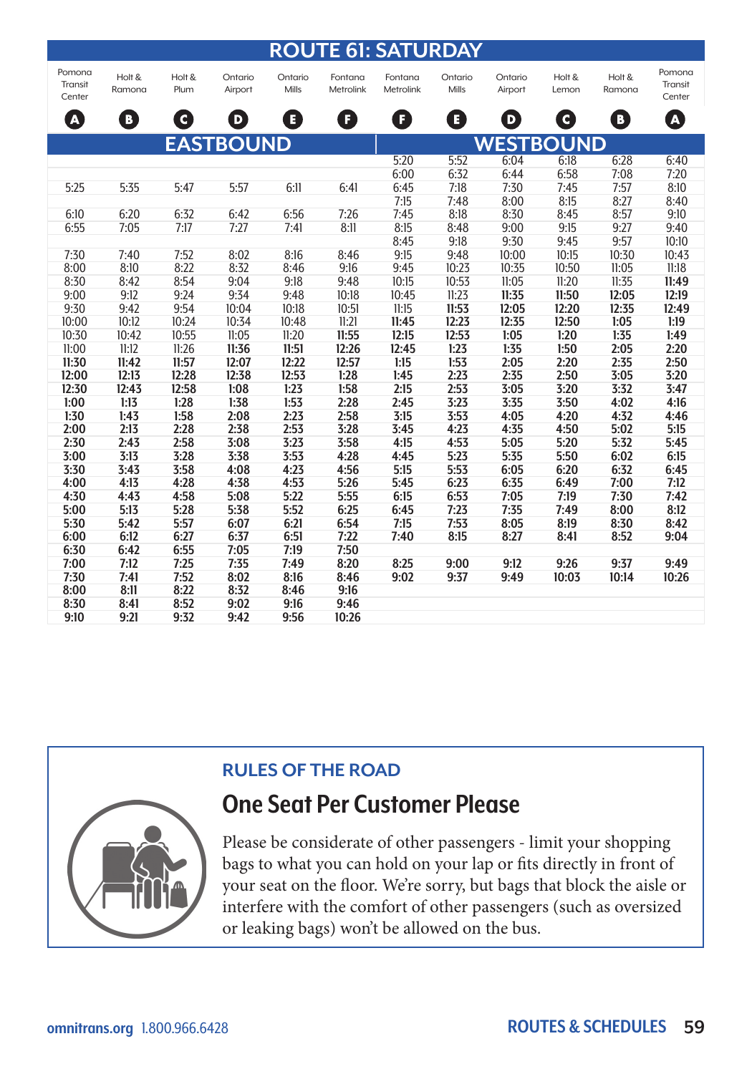|                             |                  |                |                    |                  |                      | <b>ROUTE 61: SATURDAY</b> |                  |                    |                 |                  |                             |  |  |  |
|-----------------------------|------------------|----------------|--------------------|------------------|----------------------|---------------------------|------------------|--------------------|-----------------|------------------|-----------------------------|--|--|--|
| Pomona<br>Transit<br>Center | Holt &<br>Ramona | Holt &<br>Plum | Ontario<br>Airport | Ontario<br>Mills | Fontana<br>Metrolink | Fontana<br>Metrolink      | Ontario<br>Mills | Ontario<br>Airport | Holt &<br>Lemon | Holt &<br>Ramona | Pomona<br>Transit<br>Center |  |  |  |
| $\boldsymbol{\Omega}$       | D                | Q              | D                  | B                | ß                    | ß                         | B                | D                  | O               | Ð                | A                           |  |  |  |
|                             | <b>EASTBOUND</b> |                |                    |                  |                      |                           | <b>WESTBOUND</b> |                    |                 |                  |                             |  |  |  |
|                             |                  |                |                    |                  |                      | 5:20                      | 5:52             | 6:04               | 6:18            | 6:28             | 6:40                        |  |  |  |
|                             |                  |                |                    |                  |                      | 6:00                      | 6:32             | 6:44               | 6:58            | 7:08             | 7:20                        |  |  |  |
| 5:25                        | 5:35             | 5:47           | 5:57               | 6:11             | 6:41                 | 6:45                      | 7:18             | 7:30               | 7:45            | 7:57             | 8:10                        |  |  |  |
|                             |                  |                |                    |                  |                      | 7:15                      | 7:48             | 8:00               | 8:15            | 8:27             | 8:40                        |  |  |  |
| 6:10                        | 6:20             | 6:32           | 6:42               | 6:56             | 7:26                 | 7:45                      | 8:18             | 8:30               | 8:45            | 8:57             | 9:10                        |  |  |  |
| 6:55                        | 7:05             | 7:17           | 7:27               | 7:41             | 8:11                 | 8:15                      | 8:48             | 9:00               | 9:15            | 9:27             | 9:40                        |  |  |  |
|                             |                  |                |                    |                  |                      | 8:45                      | 9:18             | 9:30               | 9:45            | 9:57             | 10:10                       |  |  |  |
| 7:30                        | 7:40             | 7:52           | 8:02               | 8:16             | 8:46                 | 9:15                      | 9:48             | 10:00              | 10:15           | 10:30            | 10:43                       |  |  |  |
| 8:00                        | 8:10             | 8:22           | 8:32               | 8:46             | 9:16                 | 9:45                      | 10:23            | 10:35              | 10:50           | 11:05            | 11:18                       |  |  |  |
| 8:30                        | 8:42             | 8:54           | 9:04               | 9:18             | 9:48                 | 10:15                     | 10:53            | 11:05              | 11:20           | 11:35            | 11:49                       |  |  |  |
| 9:00                        | 9:12             | 9:24           | 9:34               | 9:48             | 10:18                | 10:45                     | 11:23            | 11:35              | 11:50           | 12:05            | 12:19                       |  |  |  |
| 9:30                        | 9:42             | 9:54           | 10:04              | 10:18            | 10:51                | 11:15                     | 11:53            | 12:05              | 12:20           | 12:35            | 12:49                       |  |  |  |
| 10:00                       | 10:12            | 10:24          | 10:34              | 10:48            | 11:21                | 11:45                     | 12:23            | 12:35              | 12:50           | 1:05             | 1:19                        |  |  |  |
| 10:30                       | 10:42            | 10:55          | 11:05              | 11:20            | 11:55                | 12:15                     | 12:53            | 1:05               | 1:20            | 1:35             | 1:49                        |  |  |  |
| 11:00                       | 11:12            | 11:26          | 11:36              | 11:51            | 12:26                | 12:45                     | 1:23             | 1:35               | 1:50            | 2:05             | 2:20                        |  |  |  |
| 11:30                       | 11:42            | 11:57          | 12:07              | 12:22            | 12:57                | 1:15                      | 1:53             | 2:05               | 2:20            | 2:35             | 2:50                        |  |  |  |
| 12:00                       | 12:13            | 12:28          | 12:38              | 12:53            | 1:28                 | 1:45                      | 2:23             | 2:35               | 2:50            | 3:05             | 3:20                        |  |  |  |
| 12:30                       | 12:43            | 12:58          | 1:08               | 1:23             | 1:58                 | 2:15                      | 2:53             | 3:05               | 3:20            | 3:32             | 3:47                        |  |  |  |
| 1:00                        | 1:13             | 1:28           | 1:38               | 1:53             | 2:28                 | 2:45                      | 3:23             | 3:35               | 3:50            | 4:02             | 4:16                        |  |  |  |
| 1:30                        | 1:43             | 1:58           | 2:08               | 2:23             | 2:58                 | 3:15                      | 3:53             | 4:05               | 4:20            | 4:32             | 4:46                        |  |  |  |
| 2:00                        | 2:13             | 2:28           | 2:38               | 2:53             | 3:28                 | 3:45                      | 4:23             | 4:35               | 4:50            | 5:02             | 5:15                        |  |  |  |
| 2:30                        | 2:43             | 2:58           | 3:08               | 3:23             | 3:58                 | 4:15                      | 4:53             | 5:05               | 5:20            | 5:32             | 5:45                        |  |  |  |
| 3:00                        | 3:13             | 3:28           | 3:38               | 3:53             | 4:28                 | 4:45                      | 5:23             | 5:35               | 5:50            | 6:02             | 6:15                        |  |  |  |
| 3:30                        | 3:43             | 3:58           | 4:08               | 4:23             | 4:56                 | 5:15                      | 5:53             | 6:05               | 6:20            | 6:32             | 6:45                        |  |  |  |
| 4:00                        | 4:13             | 4:28           | 4:38               | 4:53             | 5:26                 | 5:45                      | 6:23             | 6:35               | 6:49            | 7:00             | 7:12                        |  |  |  |
| 4:30                        | 4:43             | 4:58           | 5:08               | 5:22             | 5:55                 | 6:15                      | 6:53             | 7:05               | 7:19            | 7:30             | 7:42                        |  |  |  |
| 5:00                        | 5:13             | 5:28           | 5:38               | 5:52             | 6:25                 | 6:45                      | 7:23             | 7:35               | 7:49            | 8:00             | 8:12                        |  |  |  |
| 5:30                        | 5:42             | 5:57           | 6:07               | 6:21             | 6:54                 | 7:15                      | 7:53             | 8:05               | 8:19            | 8:30             | 8:42                        |  |  |  |
| 6:00                        | 6:12             | 6:27           | 6:37               | 6:51             | 7:22                 | 7:40                      | 8:15             | 8:27               | 8:41            | 8:52             | 9:04                        |  |  |  |
| 6:30                        | 6:42             | 6:55           | 7:05               | 7:19             | 7:50                 |                           |                  |                    |                 |                  |                             |  |  |  |
| 7:00                        | 7:12             | 7:25           | 7:35               | 7:49             | 8:20                 | 8:25                      | 9:00             | 9:12               | 9:26            | 9:37             | 9:49                        |  |  |  |
| 7:30                        | 7:41             | 7:52           | 8:02               | 8:16             | 8:46                 | 9:02                      | 9:37             | 9:49               | 10:03           | 10:14            | 10:26                       |  |  |  |
| 8:00                        | 8:11             | 8:22           | 8:32               | 8:46             | 9:16                 |                           |                  |                    |                 |                  |                             |  |  |  |
| 8:30                        | 8:41             | 8:52           | 9:02               | 9:16             | 9:46                 |                           |                  |                    |                 |                  |                             |  |  |  |
| 9:10                        | 9:21             | 9:32           | 9:42               | 9:56             | 10:26                |                           |                  |                    |                 |                  |                             |  |  |  |

## **RULES OF THE ROAD**



## **One Seat Per Customer Please**

Please be considerate of other passengers - limit your shopping bags to what you can hold on your lap or fits directly in front of your seat on the floor. We're sorry, but bags that block the aisle or interfere with the comfort of other passengers (such as oversized or leaking bags) won't be allowed on the bus.